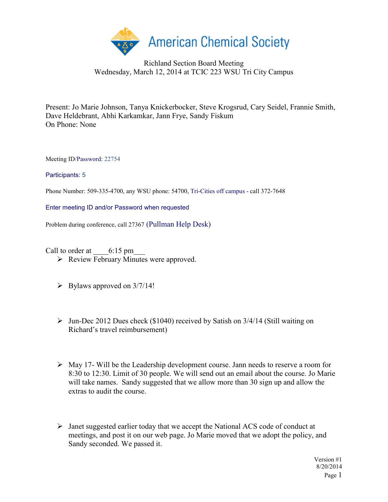

## Richland Section Board Meeting Wednesday, March 12, 2014 at TCIC 223 WSU Tri City Campus

Present: Jo Marie Johnson, Tanya Knickerbocker, Steve Krogsrud, Cary Seidel, Frannie Smith, Dave Heldebrant, Abhi Karkamkar, Jann Frye, Sandy Fiskum On Phone: None

Meeting ID/Password: 22754

Participants: 5

Phone Number: 509-335-4700, any WSU phone: 54700, Tri-Cities off campus - call 372-7648

Enter meeting ID and/or Password when requested

Problem during conference, call 27367 (Pullman Help Desk)

Call to order at  $6:15 \text{ pm}$ 

- ▶ Review February Minutes were approved.
- $\triangleright$  Bylaws approved on 3/7/14!
- $\triangleright$  Jun-Dec 2012 Dues check (\$1040) received by Satish on 3/4/14 (Still waiting on Richard's travel reimbursement)
- $\triangleright$  May 17- Will be the Leadership development course. Jann needs to reserve a room for 8:30 to 12:30. Limit of 30 people. We will send out an email about the course. Jo Marie will take names. Sandy suggested that we allow more than 30 sign up and allow the extras to audit the course.
- Janet suggested earlier today that we accept the National ACS code of conduct at meetings, and post it on our web page. Jo Marie moved that we adopt the policy, and Sandy seconded. We passed it.

Version #1 8/20/2014 Page 1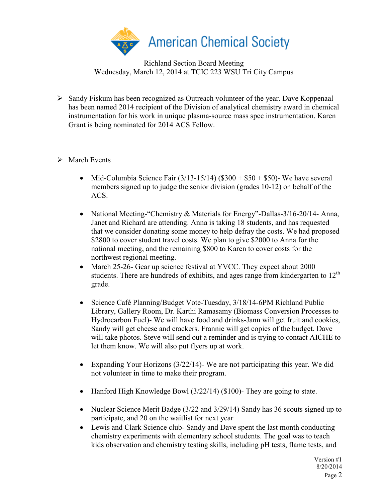

Richland Section Board Meeting Wednesday, March 12, 2014 at TCIC 223 WSU Tri City Campus

 $\triangleright$  Sandy Fiskum has been recognized as Outreach volunteer of the year. Dave Koppenaal has been named 2014 recipient of the Division of analytical chemistry award in chemical instrumentation for his work in unique plasma-source mass spec instrumentation. Karen Grant is being nominated for 2014 ACS Fellow.

## $\triangleright$  March Events

- Mid-Columbia Science Fair  $(3/13-15/14)$   $(\$300 + \$50 + \$50)$  We have several members signed up to judge the senior division (grades 10-12) on behalf of the ACS.
- National Meeting-"Chemistry & Materials for Energy"-Dallas-3/16-20/14- Anna, Janet and Richard are attending. Anna is taking 18 students, and has requested that we consider donating some money to help defray the costs. We had proposed \$2800 to cover student travel costs. We plan to give \$2000 to Anna for the national meeting, and the remaining \$800 to Karen to cover costs for the northwest regional meeting.
- March 25-26- Gear up science festival at YVCC. They expect about 2000 students. There are hundreds of exhibits, and ages range from kindergarten to  $12<sup>th</sup>$ grade.
- Science Café Planning/Budget Vote-Tuesday, 3/18/14-6PM Richland Public Library, Gallery Room, Dr. Karthi Ramasamy (Biomass Conversion Processes to Hydrocarbon Fuel)- We will have food and drinks-Jann will get fruit and cookies, Sandy will get cheese and crackers. Frannie will get copies of the budget. Dave will take photos. Steve will send out a reminder and is trying to contact AICHE to let them know. We will also put flyers up at work.
- Expanding Your Horizons (3/22/14)- We are not participating this year. We did not volunteer in time to make their program.
- Hanford High Knowledge Bowl (3/22/14) (\$100)- They are going to state.
- Nuclear Science Merit Badge (3/22 and 3/29/14) Sandy has 36 scouts signed up to participate, and 20 on the waitlist for next year
- Lewis and Clark Science club- Sandy and Dave spent the last month conducting chemistry experiments with elementary school students. The goal was to teach kids observation and chemistry testing skills, including pH tests, flame tests, and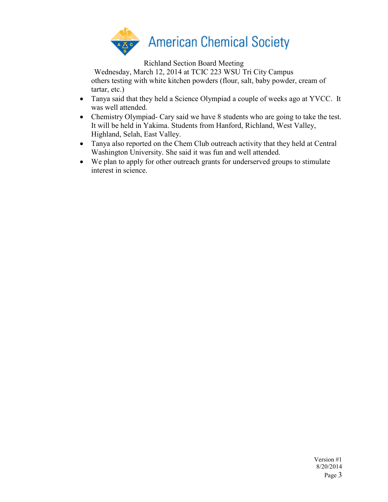

Richland Section Board Meeting

Wednesday, March 12, 2014 at TCIC 223 WSU Tri City Campus others testing with white kitchen powders (flour, salt, baby powder, cream of tartar, etc.)

- Tanya said that they held a Science Olympiad a couple of weeks ago at YVCC. It was well attended.
- Chemistry Olympiad Cary said we have 8 students who are going to take the test. It will be held in Yakima. Students from Hanford, Richland, West Valley, Highland, Selah, East Valley.
- Tanya also reported on the Chem Club outreach activity that they held at Central Washington University. She said it was fun and well attended.
- We plan to apply for other outreach grants for underserved groups to stimulate interest in science.